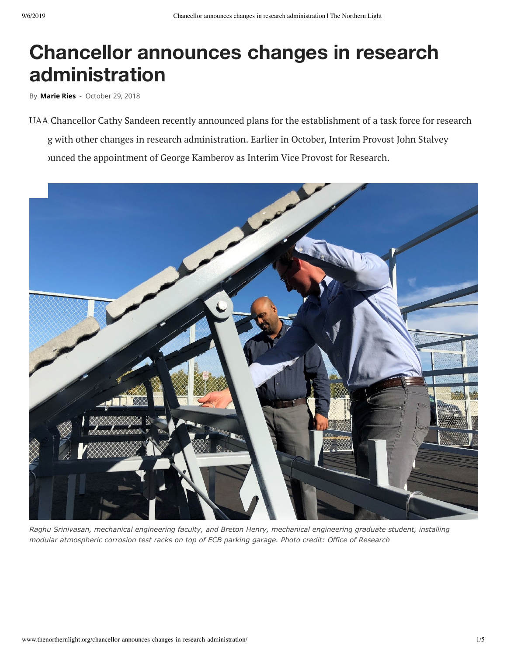## **Chancellor announces changes in research administration**

By **[Marie Ries](http://www.thenorthernlight.org/author/marie-ries/)** - October 29, 2018

UAA Chancellor Cathy Sandeen recently announced plans for the establishment of a task force for research g with other changes in research administration. Earlier in October, Interim Provost John Stalvey bunced the appointment of George Kamberov as Interim Vice Provost for Research.



*Raghu Srinivasan, mechanical engineering faculty, and Breton Henry, mechanical engineering graduate student, installing modular atmospheric corrosion test racks on top of ECB parking garage. Photo credit: Office of Research*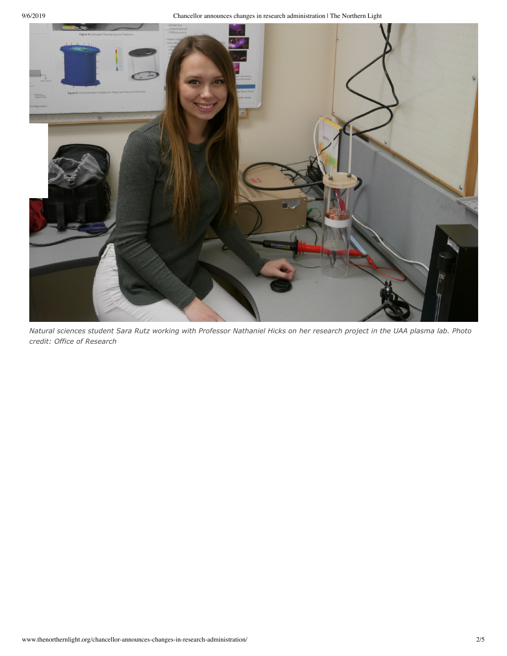9/6/2019 Chancellor announces changes in research administration | The Northern Light



*Natural sciences student Sara Rutz working with Professor Nathaniel Hicks on her research project in the UAA plasma lab. Photo credit: Office of Research*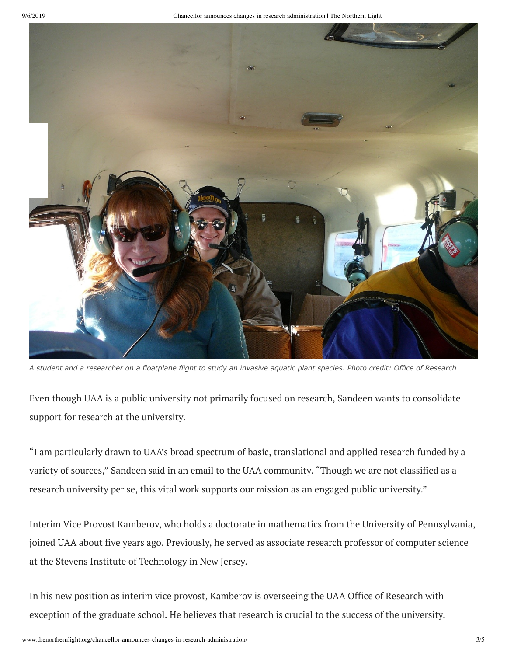

*A student and a researcher on a floatplane flight to study an invasive aquatic plant species. Photo credit: Office of Research*

Even though UAA is a public university not primarily focused on research, Sandeen wants to consolidate support for research at the university.

"I am particularly drawn to UAA's broad spectrum of basic, translational and applied research funded by a variety of sources," Sandeen said in an email to the UAA community. "Though we are not classified as a research university per se, this vital work supports our mission as an engaged public university."

Interim Vice Provost Kamberov, who holds a doctorate in mathematics from the University of Pennsylvania, joined UAA about five years ago. Previously, he served as associate research professor of computer science at the Stevens Institute of Technology in New Jersey.

In his new position as interim vice provost, Kamberov is overseeing the UAA Office of Research with exception of the graduate school. He believes that research is crucial to the success of the university.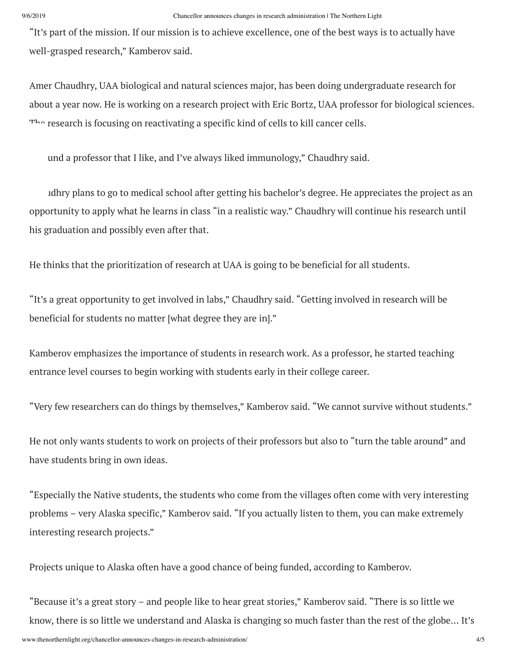"It's part of the mission. If our mission is to achieve excellence, one of the best ways is to actually have well-grasped research," Kamberov said.

Amer Chaudhry, UAA biological and natural sciences major, has been doing undergraduate research for about a year now. He is working on a research project with Eric Bortz, UAA professor for biological sciences. The research is focusing on reactivating a specific kind of cells to kill cancer cells.

und a professor that I like, and I've always liked immunology," Chaudhry said.

idhry plans to go to medical school after getting his bachelor's degree. He appreciates the project as an opportunity to apply what he learns in class "in a realistic way." Chaudhry will continue his research until his graduation and possibly even after that.

He thinks that the prioritization of research at UAA is going to be beneficial for all students.

"It's a great opportunity to get involved in labs," Chaudhry said. "Getting involved in research will be beneficial for students no matter [what degree they are in]."

Kamberov emphasizes the importance of students in research work. As a professor, he started teaching entrance level courses to begin working with students early in their college career.

"Very few researchers can do things by themselves," Kamberov said. "We cannot survive without students."

He not only wants students to work on projects of their professors but also to "turn the table around" and have students bring in own ideas.

"Especially the Native students, the students who come from the villages often come with very interesting problems – very Alaska specific," Kamberov said. "If you actually listen to them, you can make extremely interesting research projects."

Projects unique to Alaska often have a good chance of being funded, according to Kamberov.

"Because it's a great story – and people like to hear great stories," Kamberov said. "There is so little we know, there is so little we understand and Alaska is changing so much faster than the rest of the globe… It's